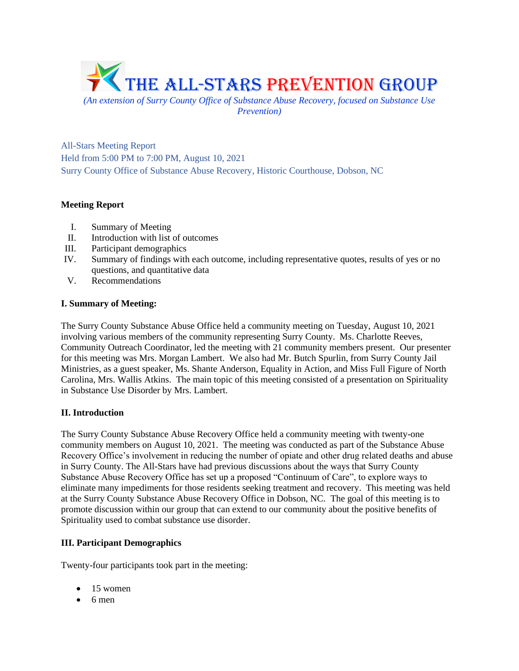

*Prevention)*

All-Stars Meeting Report Held from 5:00 PM to 7:00 PM, August 10, 2021 Surry County Office of Substance Abuse Recovery, Historic Courthouse, Dobson, NC

# **Meeting Report**

- I. Summary of Meeting
- II. Introduction with list of outcomes
- III. Participant demographics
- IV. Summary of findings with each outcome, including representative quotes, results of yes or no questions, and quantitative data
- V. Recommendations

## **I. Summary of Meeting:**

The Surry County Substance Abuse Office held a community meeting on Tuesday, August 10, 2021 involving various members of the community representing Surry County. Ms. Charlotte Reeves, Community Outreach Coordinator, led the meeting with 21 community members present. Our presenter for this meeting was Mrs. Morgan Lambert. We also had Mr. Butch Spurlin, from Surry County Jail Ministries, as a guest speaker, Ms. Shante Anderson, Equality in Action, and Miss Full Figure of North Carolina, Mrs. Wallis Atkins. The main topic of this meeting consisted of a presentation on Spirituality in Substance Use Disorder by Mrs. Lambert.

## **II. Introduction**

The Surry County Substance Abuse Recovery Office held a community meeting with twenty-one community members on August 10, 2021. The meeting was conducted as part of the Substance Abuse Recovery Office's involvement in reducing the number of opiate and other drug related deaths and abuse in Surry County. The All-Stars have had previous discussions about the ways that Surry County Substance Abuse Recovery Office has set up a proposed "Continuum of Care", to explore ways to eliminate many impediments for those residents seeking treatment and recovery. This meeting was held at the Surry County Substance Abuse Recovery Office in Dobson, NC. The goal of this meeting is to promote discussion within our group that can extend to our community about the positive benefits of Spirituality used to combat substance use disorder.

## **III. Participant Demographics**

Twenty-four participants took part in the meeting:

- $\bullet$  15 women
- 6 men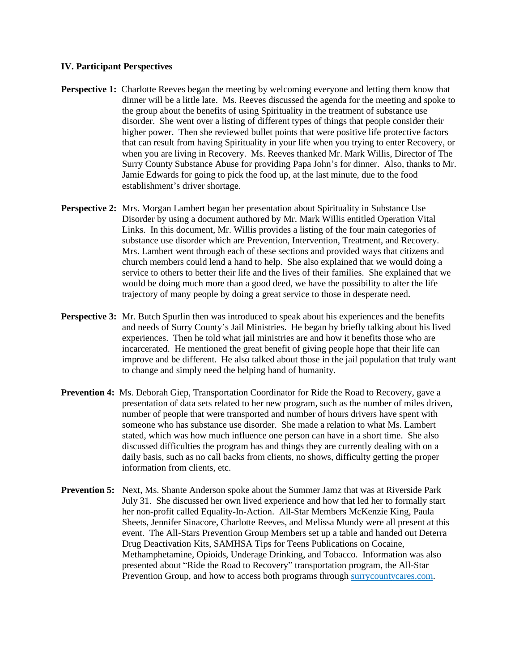#### **IV. Participant Perspectives**

- **Perspective 1:** Charlotte Reeves began the meeting by welcoming everyone and letting them know that dinner will be a little late. Ms. Reeves discussed the agenda for the meeting and spoke to the group about the benefits of using Spirituality in the treatment of substance use disorder. She went over a listing of different types of things that people consider their higher power. Then she reviewed bullet points that were positive life protective factors that can result from having Spirituality in your life when you trying to enter Recovery, or when you are living in Recovery. Ms. Reeves thanked Mr. Mark Willis, Director of The Surry County Substance Abuse for providing Papa John's for dinner. Also, thanks to Mr. Jamie Edwards for going to pick the food up, at the last minute, due to the food establishment's driver shortage.
- **Perspective 2:** Mrs. Morgan Lambert began her presentation about Spirituality in Substance Use Disorder by using a document authored by Mr. Mark Willis entitled Operation Vital Links. In this document, Mr. Willis provides a listing of the four main categories of substance use disorder which are Prevention, Intervention, Treatment, and Recovery. Mrs. Lambert went through each of these sections and provided ways that citizens and church members could lend a hand to help. She also explained that we would doing a service to others to better their life and the lives of their families. She explained that we would be doing much more than a good deed, we have the possibility to alter the life trajectory of many people by doing a great service to those in desperate need.
- **Perspective 3:** Mr. Butch Spurlin then was introduced to speak about his experiences and the benefits and needs of Surry County's Jail Ministries. He began by briefly talking about his lived experiences. Then he told what jail ministries are and how it benefits those who are incarcerated. He mentioned the great benefit of giving people hope that their life can improve and be different. He also talked about those in the jail population that truly want to change and simply need the helping hand of humanity.
- **Prevention 4:** Ms. Deborah Giep, Transportation Coordinator for Ride the Road to Recovery, gave a presentation of data sets related to her new program, such as the number of miles driven, number of people that were transported and number of hours drivers have spent with someone who has substance use disorder. She made a relation to what Ms. Lambert stated, which was how much influence one person can have in a short time. She also discussed difficulties the program has and things they are currently dealing with on a daily basis, such as no call backs from clients, no shows, difficulty getting the proper information from clients, etc.
- **Prevention 5:** Next, Ms. Shante Anderson spoke about the Summer Jamz that was at Riverside Park July 31. She discussed her own lived experience and how that led her to formally start her non-profit called Equality-In-Action. All-Star Members McKenzie King, Paula Sheets, Jennifer Sinacore, Charlotte Reeves, and Melissa Mundy were all present at this event. The All-Stars Prevention Group Members set up a table and handed out Deterra Drug Deactivation Kits, SAMHSA Tips for Teens Publications on Cocaine, Methamphetamine, Opioids, Underage Drinking, and Tobacco. Information was also presented about "Ride the Road to Recovery" transportation program, the All-Star Prevention Group, and how to access both programs through surrycountycares.com.